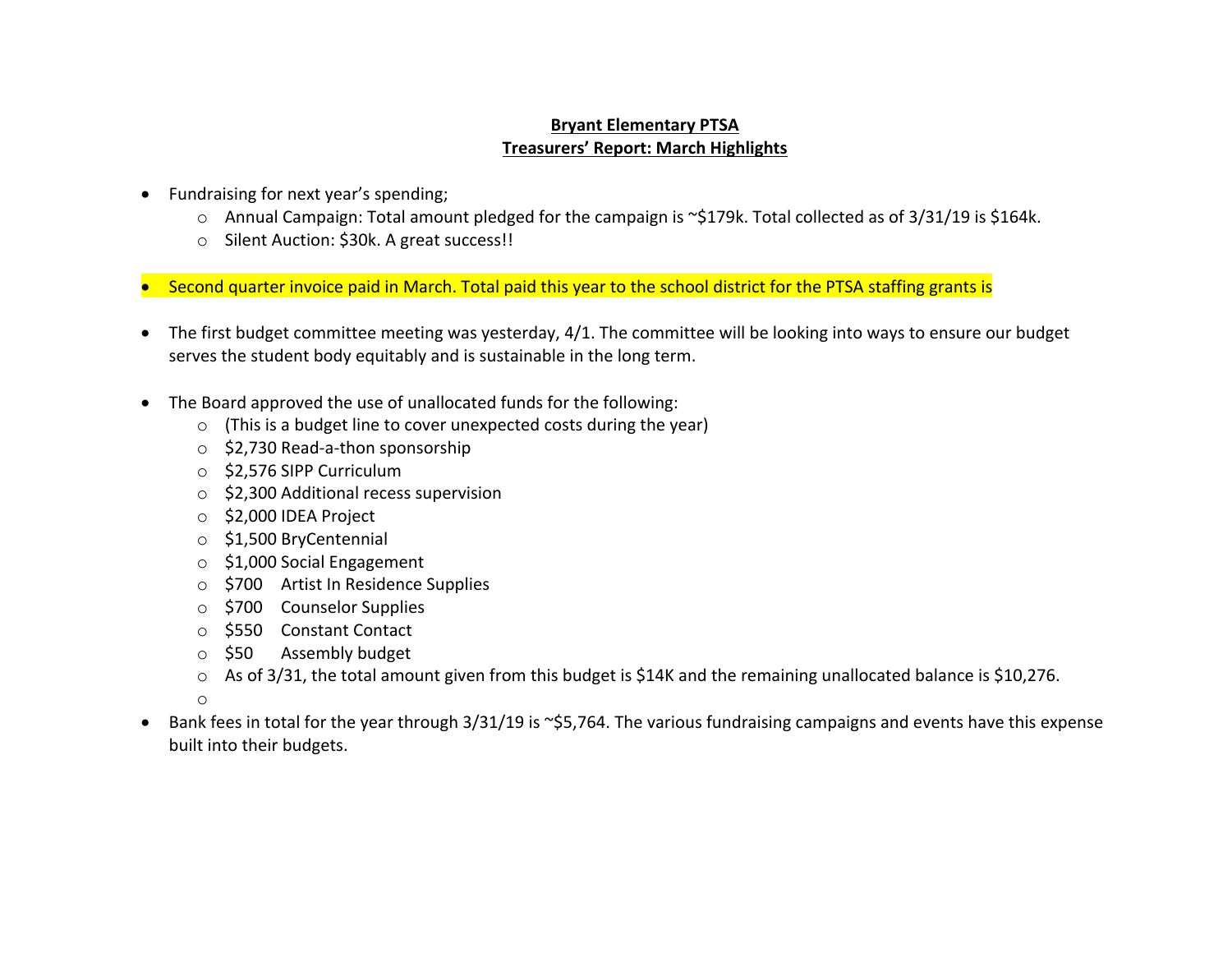## **Bryant Elementary PTSA Treasurers' Report: March Highlights**

- Fundraising for next year's spending;
	- o Annual Campaign: Total amount pledged for the campaign is ~\$179k. Total collected as of 3/31/19 is \$164k.
	- o Silent Auction: \$30k. A great success!!
- Second quarter invoice paid in March. Total paid this year to the school district for the PTSA staffing grants is
- The first budget committee meeting was yesterday, 4/1. The committee will be looking into ways to ensure our budget serves the student body equitably and is sustainable in the long term.
- The Board approved the use of unallocated funds for the following:
	- $\circ$  (This is a budget line to cover unexpected costs during the year)
	- o \$2,730 Read-a-thon sponsorship
	- o \$2,576 SIPP Curriculum
	- o \$2,300 Additional recess supervision
	- o \$2,000 IDEA Project
	- o \$1,500 BryCentennial
	- o \$1,000 Social Engagement
	- o \$700 Artist In Residence Supplies
	- o \$700 Counselor Supplies
	- o \$550 Constant Contact
	- o \$50 Assembly budget
	- o As of 3/31, the total amount given from this budget is \$14K and the remaining unallocated balance is \$10,276.
	- o
- Bank fees in total for the year through 3/31/19 is ~\$5,764. The various fundraising campaigns and events have this expense built into their budgets.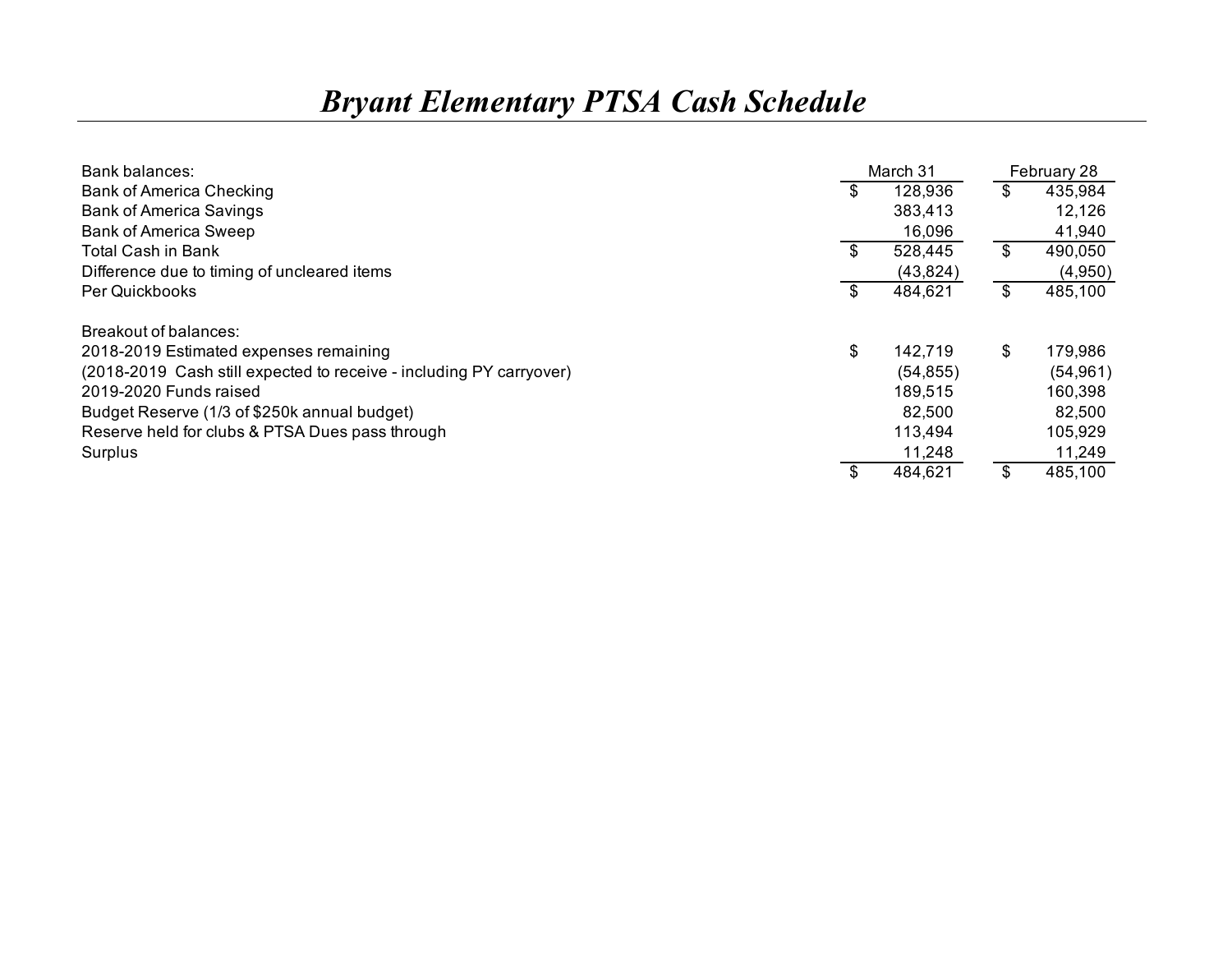## *Bryant Elementary PTSA Cash Schedule*

| Bank balances:                                                      |    | March 31  |       | February 28 |
|---------------------------------------------------------------------|----|-----------|-------|-------------|
| <b>Bank of America Checking</b>                                     | -S | 128,936   | \$    | 435,984     |
| <b>Bank of America Savings</b>                                      |    | 383,413   |       | 12,126      |
| <b>Bank of America Sweep</b>                                        |    | 16,096    |       | 41,940      |
| <b>Total Cash in Bank</b>                                           | \$ | 528,445   | $\$\$ | 490,050     |
| Difference due to timing of uncleared items                         |    | (43, 824) |       | (4,950)     |
| Per Quickbooks                                                      | \$ | 484,621   | \$    | 485,100     |
| Breakout of balances:                                               |    |           |       |             |
| 2018-2019 Estimated expenses remaining                              | \$ | 142,719   | \$    | 179,986     |
| (2018-2019 Cash still expected to receive - including PY carryover) |    | (54, 855) |       | (54, 961)   |
| 2019-2020 Funds raised                                              |    | 189,515   |       | 160,398     |
| Budget Reserve (1/3 of \$250k annual budget)                        |    | 82,500    |       | 82,500      |
| Reserve held for clubs & PTSA Dues pass through                     |    | 113,494   |       | 105,929     |
| Surplus                                                             |    | 11,248    |       | 11,249      |
|                                                                     |    | 484,621   | \$    | 485,100     |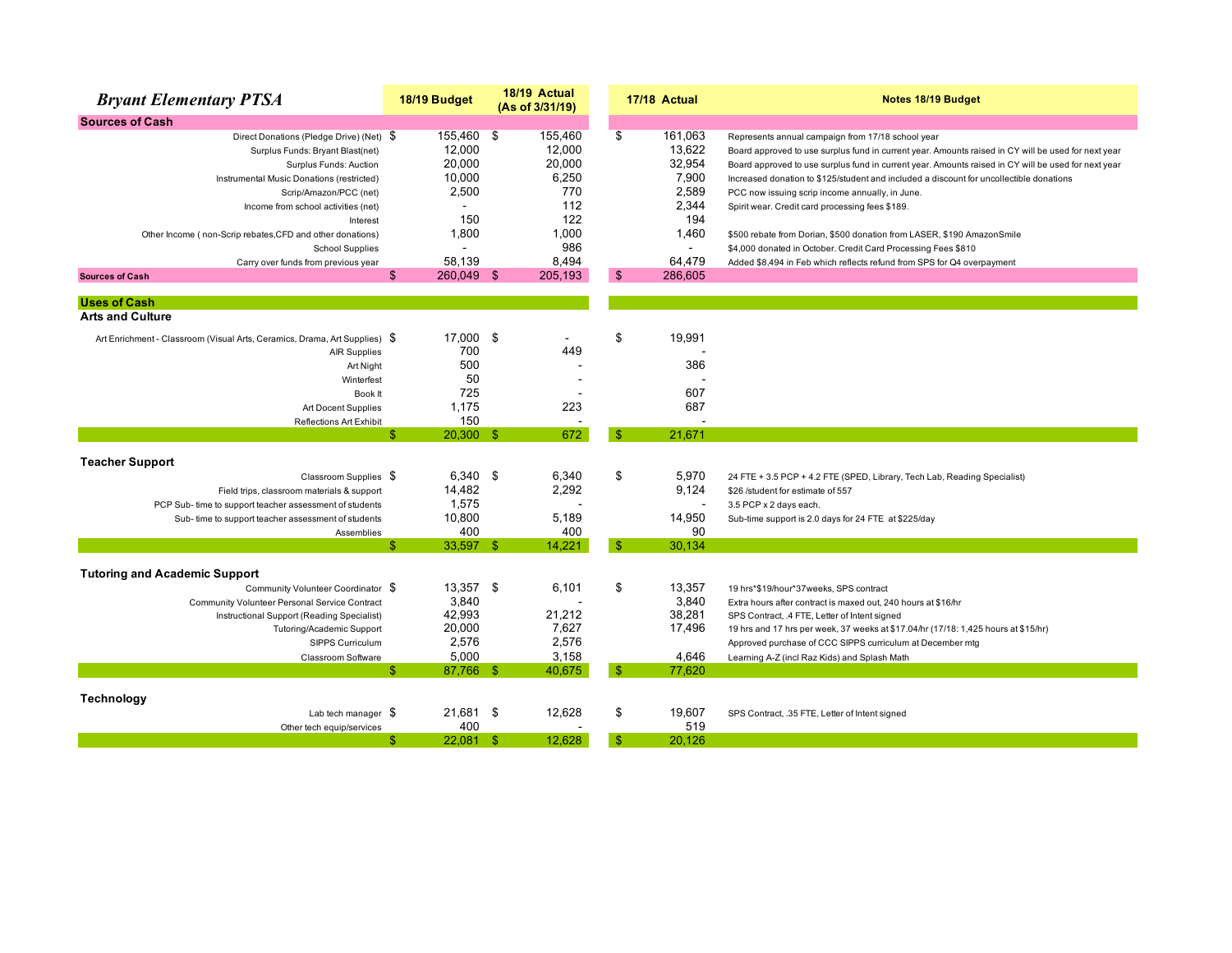| <b>Bryant Elementary PTSA</b>                                              | 18/19 Budget       |     | 18/19 Actual<br>(As of 3/31/19) | 17/18 Actual   |                | Notes 18/19 Budget                                                                                  |  |
|----------------------------------------------------------------------------|--------------------|-----|---------------------------------|----------------|----------------|-----------------------------------------------------------------------------------------------------|--|
| <b>Sources of Cash</b>                                                     |                    |     |                                 |                |                |                                                                                                     |  |
| Direct Donations (Pledge Drive) (Net) \$                                   | 155,460 \$         |     | 155,460                         | \$             | 161,063        | Represents annual campaign from 17/18 school year                                                   |  |
| Surplus Funds: Bryant Blast(net)                                           | 12,000             |     | 12,000                          |                | 13,622         | Board approved to use surplus fund in current year. Amounts raised in CY will be used for next year |  |
| Surplus Funds: Auction                                                     | 20,000             |     | 20.000                          |                | 32,954         | Board approved to use surplus fund in current year. Amounts raised in CY will be used for next year |  |
| Instrumental Music Donations (restricted)                                  | 10,000             |     | 6,250                           |                | 7,900          | Increased donation to \$125/student and included a discount for uncollectible donations             |  |
| Scrip/Amazon/PCC (net)                                                     | 2,500              |     | 770                             |                | 2,589          | PCC now issuing scrip income annually, in June.                                                     |  |
| Income from school activities (net)                                        |                    |     | 112                             |                | 2,344          | Spirit wear. Credit card processing fees \$189.                                                     |  |
| Interest                                                                   | 150                |     | 122                             |                | 194            |                                                                                                     |  |
| Other Income (non-Scrip rebates, CFD and other donations)                  | 1,800              |     | 1,000                           |                | 1,460          | \$500 rebate from Dorian, \$500 donation from LASER, \$190 AmazonSmile                              |  |
| <b>School Supplies</b>                                                     | $\overline{a}$     |     | 986                             |                | $\blacksquare$ | \$4,000 donated in October. Credit Card Processing Fees \$810                                       |  |
| Carry over funds from previous year                                        | 58.139             |     | 8,494                           |                | 64.479         | Added \$8,494 in Feb which reflects refund from SPS for Q4 overpayment                              |  |
| <b>Sources of Cash</b>                                                     | \$<br>260,049 \$   |     | 205,193                         | $\mathfrak{s}$ | 286,605        |                                                                                                     |  |
| <b>Uses of Cash</b>                                                        |                    |     |                                 |                |                |                                                                                                     |  |
| <b>Arts and Culture</b>                                                    |                    |     |                                 |                |                |                                                                                                     |  |
| Art Enrichment - Classroom (Visual Arts, Ceramics, Drama, Art Supplies) \$ | 17,000             | -\$ |                                 | \$             | 19,991         |                                                                                                     |  |
| <b>AIR Supplies</b>                                                        | 700                |     | 449                             |                |                |                                                                                                     |  |
| Art Night                                                                  | 500                |     |                                 |                | 386            |                                                                                                     |  |
| Winterfest                                                                 | 50                 |     |                                 |                |                |                                                                                                     |  |
| Book It                                                                    | 725                |     |                                 |                | 607            |                                                                                                     |  |
| Art Docent Supplies                                                        | 1.175              |     | 223                             |                | 687            |                                                                                                     |  |
| <b>Reflections Art Exhibit</b>                                             | 150                |     |                                 |                |                |                                                                                                     |  |
|                                                                            | \$.<br>$20,300$ \$ |     | 672                             | -\$            | 21,671         |                                                                                                     |  |
| <b>Teacher Support</b>                                                     |                    |     |                                 |                |                |                                                                                                     |  |
| Classroom Supplies \$                                                      | 6,340 \$           |     | 6,340                           | \$             | 5,970          | 24 FTE + 3.5 PCP + 4.2 FTE (SPED, Library, Tech Lab, Reading Specialist)                            |  |
| Field trips, classroom materials & support                                 | 14,482             |     | 2,292                           |                | 9,124          | \$26 /student for estimate of 557                                                                   |  |
| PCP Sub- time to support teacher assessment of students                    | 1,575              |     |                                 |                | $\overline{a}$ | 3.5 PCP x 2 days each.                                                                              |  |
| Sub-time to support teacher assessment of students                         | 10,800             |     | 5,189                           |                | 14,950         | Sub-time support is 2.0 days for 24 FTE at \$225/day                                                |  |
| Assemblies                                                                 | 400                |     | 400                             |                | 90             |                                                                                                     |  |
|                                                                            | 33,597 \$<br>\$.   |     | 14,221                          | $\mathbf{\$}$  | 30.134         |                                                                                                     |  |
| <b>Tutoring and Academic Support</b>                                       |                    |     |                                 |                |                |                                                                                                     |  |
| Community Volunteer Coordinator \$                                         | 13,357 \$          |     | 6,101                           | \$             | 13,357         | 19 hrs*\$19/hour*37weeks, SPS contract                                                              |  |
| Community Volunteer Personal Service Contract                              | 3,840              |     |                                 |                | 3,840          | Extra hours after contract is maxed out, 240 hours at \$16/hr                                       |  |
| Instructional Support (Reading Specialist)                                 | 42,993             |     | 21,212                          |                | 38,281         | SPS Contract, .4 FTE, Letter of Intent signed                                                       |  |
| Tutoring/Academic Support                                                  | 20,000             |     | 7,627                           |                | 17,496         | 19 hrs and 17 hrs per week, 37 weeks at \$17.04/hr (17/18: 1,425 hours at \$15/hr)                  |  |
| SIPPS Curriculum                                                           | 2,576              |     | 2,576                           |                |                | Approved purchase of CCC SIPPS curriculum at December mtg                                           |  |
| Classroom Software                                                         | 5,000              |     | 3,158                           |                | 4,646          | Learning A-Z (incl Raz Kids) and Splash Math                                                        |  |
|                                                                            | \$<br>87,766 \$    |     | 40,675                          | $\mathbb{S}$   | 77,620         |                                                                                                     |  |
| Technology                                                                 |                    |     |                                 |                |                |                                                                                                     |  |
|                                                                            | 21.681 \$          |     | 12,628                          | \$             | 19.607         |                                                                                                     |  |
| Lab tech manager $$$                                                       | 400                |     |                                 |                | 519            | SPS Contract, .35 FTE, Letter of Intent signed                                                      |  |
| Other tech equip/services                                                  | $22,081$ \$<br>\$  |     | 12.628                          | $\mathbb{S}$   | 20,126         |                                                                                                     |  |
|                                                                            |                    |     |                                 |                |                |                                                                                                     |  |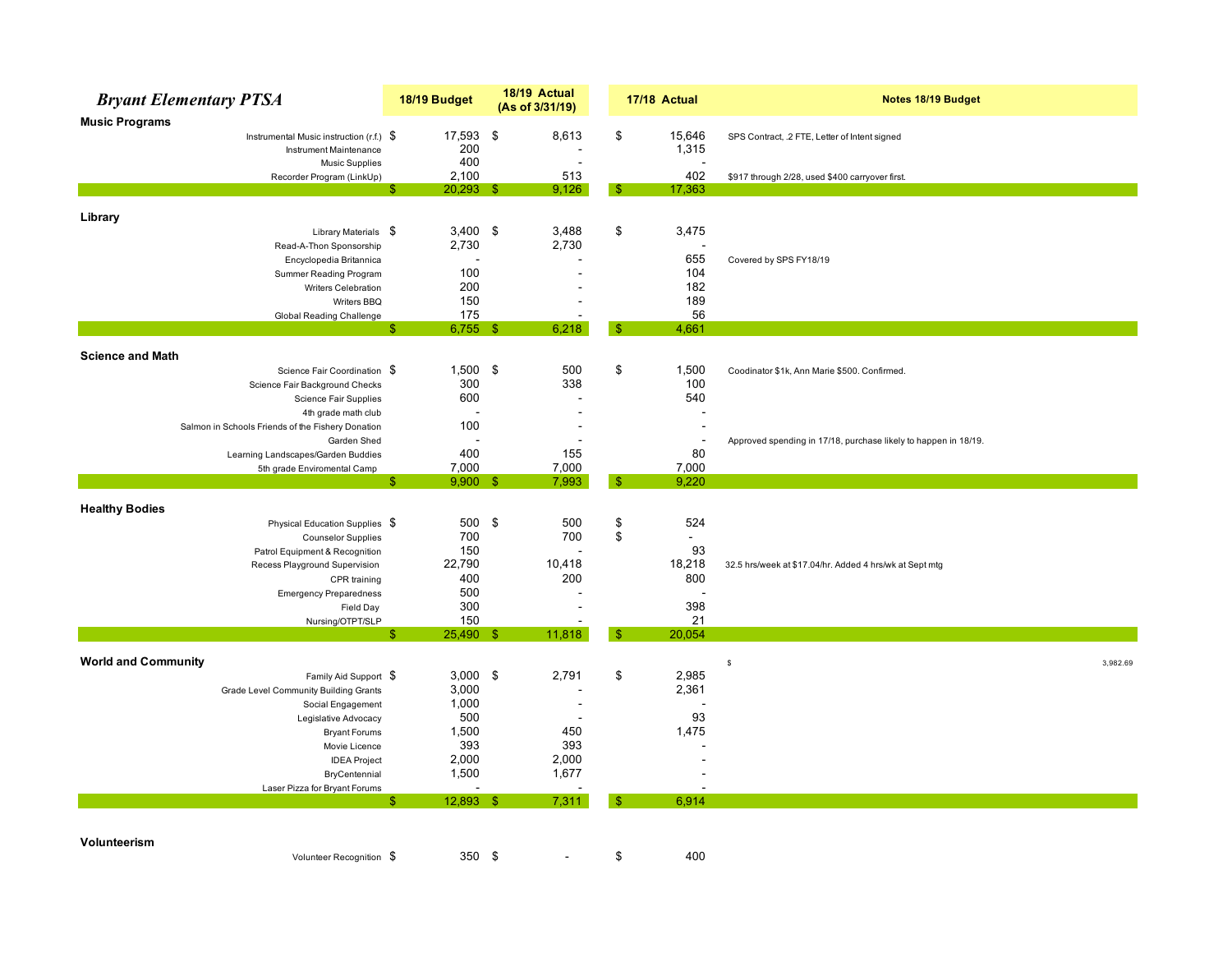|                            | <b>Bryant Elementary PTSA</b>                                   |    | 18/19 Budget        | 18/19 Actual<br>(As of 3/31/19) |          | 17/18 Actual          | Notes 18/19 Budget                                              |  |
|----------------------------|-----------------------------------------------------------------|----|---------------------|---------------------------------|----------|-----------------------|-----------------------------------------------------------------|--|
| <b>Music Programs</b>      |                                                                 |    |                     |                                 |          |                       |                                                                 |  |
|                            | Instrumental Music instruction (r.f.) \$                        |    | 17,593              | \$<br>8,613                     | \$       | 15,646                | SPS Contract, .2 FTE, Letter of Intent signed                   |  |
|                            | Instrument Maintenance                                          |    | 200                 |                                 |          | 1,315                 |                                                                 |  |
|                            | <b>Music Supplies</b>                                           |    | 400                 | L,                              |          |                       |                                                                 |  |
|                            | Recorder Program (LinkUp)                                       |    | 2,100               | 513                             |          | 402                   | \$917 through 2/28, used \$400 carryover first.                 |  |
|                            |                                                                 | -S | $20,293$ \$         | 9,126                           | S        | 17,363                |                                                                 |  |
|                            |                                                                 |    |                     |                                 |          |                       |                                                                 |  |
| Library                    |                                                                 |    |                     |                                 |          |                       |                                                                 |  |
|                            | Library Materials \$                                            |    | $3,400$ \$<br>2,730 | 3,488<br>2,730                  | \$       | 3,475                 |                                                                 |  |
|                            | Read-A-Thon Sponsorship<br>Encyclopedia Britannica              |    |                     |                                 |          | 655                   | Covered by SPS FY18/19                                          |  |
|                            | <b>Summer Reading Program</b>                                   |    | 100                 |                                 |          | 104                   |                                                                 |  |
|                            | Writers Celebration                                             |    | 200                 |                                 |          | 182                   |                                                                 |  |
|                            | Writers BBQ                                                     |    | 150                 |                                 |          | 189                   |                                                                 |  |
|                            | <b>Global Reading Challenge</b>                                 |    | 175                 |                                 |          | 56                    |                                                                 |  |
|                            |                                                                 | \$ | $6,755$ \$          | 6,218                           | \$       | 4,661                 |                                                                 |  |
|                            |                                                                 |    |                     |                                 |          |                       |                                                                 |  |
| <b>Science and Math</b>    |                                                                 |    |                     |                                 |          |                       |                                                                 |  |
|                            | Science Fair Coordination \$                                    |    | $1,500$ \$          | 500                             | \$       | 1,500                 | Coodinator \$1k, Ann Marie \$500. Confirmed.                    |  |
|                            | Science Fair Background Checks                                  |    | 300                 | 338                             |          | 100                   |                                                                 |  |
|                            | Science Fair Supplies                                           |    | 600                 |                                 |          | 540                   |                                                                 |  |
|                            | 4th grade math club                                             |    |                     | $\blacksquare$                  |          |                       |                                                                 |  |
|                            | Salmon in Schools Friends of the Fishery Donation               |    | 100                 | $\overline{a}$                  |          |                       |                                                                 |  |
|                            | Garden Shed                                                     |    |                     |                                 |          |                       | Approved spending in 17/18, purchase likely to happen in 18/19. |  |
|                            | Learning Landscapes/Garden Buddies                              |    | 400                 | 155                             |          | 80                    |                                                                 |  |
|                            | 5th grade Enviromental Camp                                     |    | 7,000               | 7,000                           |          | 7,000                 |                                                                 |  |
|                            |                                                                 | £. | $9,900$ \$          | 7,993                           | -S       | 9,220                 |                                                                 |  |
|                            |                                                                 |    |                     |                                 |          |                       |                                                                 |  |
| <b>Healthy Bodies</b>      |                                                                 |    |                     |                                 |          |                       |                                                                 |  |
|                            | Physical Education Supplies \$                                  |    | 500 \$<br>700       | 500<br>700                      | \$<br>\$ | 524<br>$\blacksquare$ |                                                                 |  |
|                            | <b>Counselor Supplies</b>                                       |    | 150                 |                                 |          | 93                    |                                                                 |  |
|                            | Patrol Equipment & Recognition<br>Recess Playground Supervision |    | 22,790              | 10,418                          |          | 18,218                |                                                                 |  |
|                            |                                                                 |    | 400                 | 200                             |          | 800                   | 32.5 hrs/week at \$17.04/hr. Added 4 hrs/wk at Sept mtg         |  |
|                            | CPR training                                                    |    | 500                 |                                 |          |                       |                                                                 |  |
|                            | <b>Emergency Preparedness</b><br>Field Day                      |    | 300                 |                                 |          | 398                   |                                                                 |  |
|                            | Nursing/OTPT/SLP                                                |    | 150                 |                                 |          | 21                    |                                                                 |  |
|                            |                                                                 | S  | 25,490 \$           | 11,818                          | \$       | 20,054                |                                                                 |  |
|                            |                                                                 |    |                     |                                 |          |                       |                                                                 |  |
| <b>World and Community</b> |                                                                 |    |                     |                                 |          |                       | 3,982.69<br>$\mathbb{S}$                                        |  |
|                            | Family Aid Support \$                                           |    | 3,000               | \$<br>2,791                     | \$       | 2,985                 |                                                                 |  |
|                            | Grade Level Community Building Grants                           |    | 3,000               |                                 |          | 2,361                 |                                                                 |  |
|                            | Social Engagement                                               |    | 1,000               | $\overline{a}$                  |          |                       |                                                                 |  |
|                            | Legislative Advocacy                                            |    | 500                 |                                 |          | 93                    |                                                                 |  |
|                            | <b>Bryant Forums</b>                                            |    | 1,500               | 450                             |          | 1,475                 |                                                                 |  |
|                            | Movie Licence                                                   |    | 393                 | 393                             |          |                       |                                                                 |  |
|                            | <b>IDEA Project</b>                                             |    | 2,000               | 2,000                           |          |                       |                                                                 |  |
|                            | BryCentennial                                                   |    | 1,500               | 1,677                           |          |                       |                                                                 |  |
|                            | Laser Pizza for Bryant Forums                                   |    |                     |                                 |          |                       |                                                                 |  |
|                            |                                                                 | Я  | $12,893$ \$         | 7,311                           | Æ        | 6,914                 |                                                                 |  |
|                            |                                                                 |    |                     |                                 |          |                       |                                                                 |  |
|                            |                                                                 |    |                     |                                 |          |                       |                                                                 |  |
| Volunteerism               |                                                                 |    |                     |                                 |          |                       |                                                                 |  |
|                            | Volunteer Recognition \$                                        |    | 350 \$              |                                 | \$       | 400                   |                                                                 |  |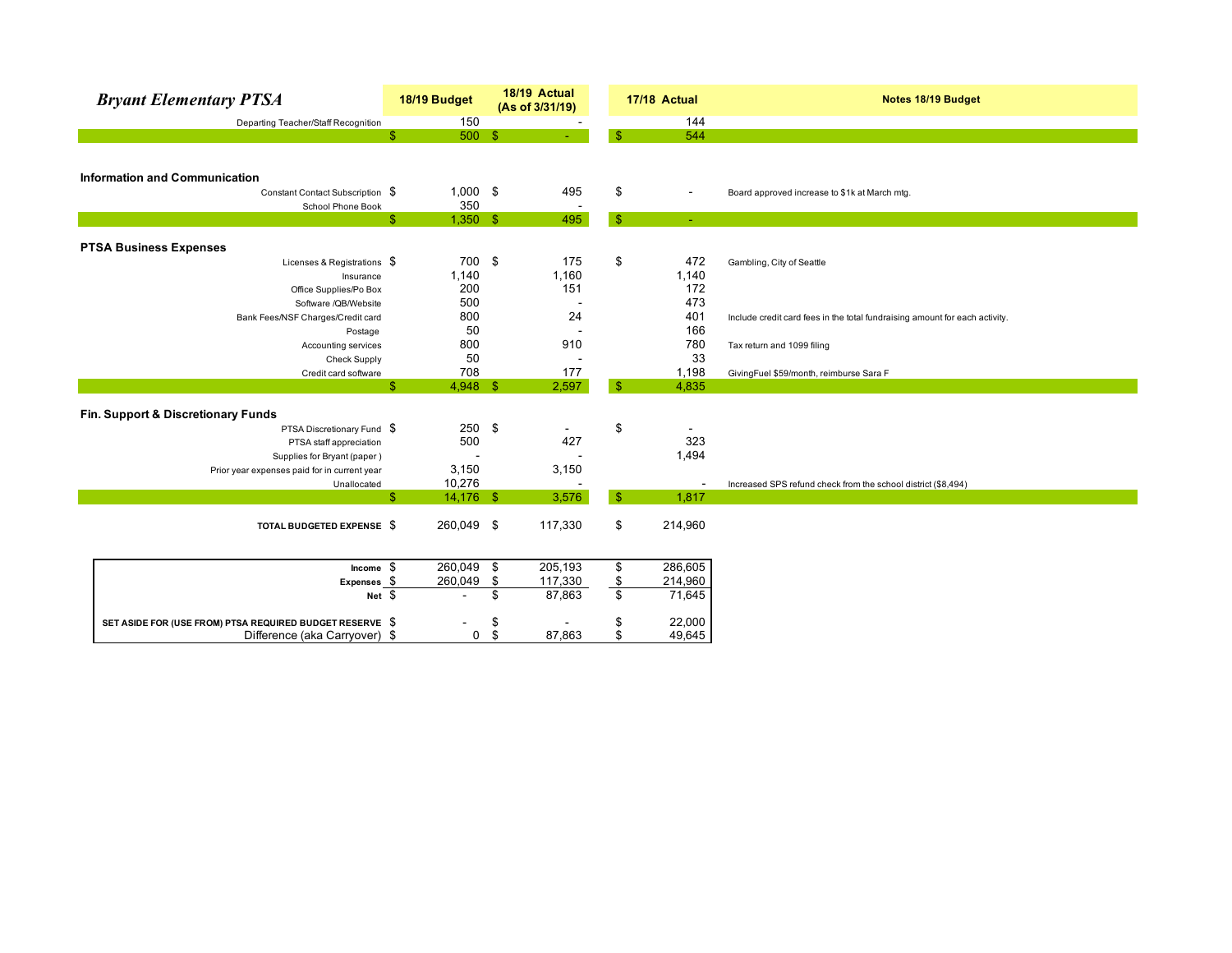| <b>Bryant Elementary PTSA</b>                            | 18/19 Budget             |             | 18/19 Actual<br>(As of 3/31/19) |                         | 17/18 Actual             | Notes 18/19 Budget                                                          |
|----------------------------------------------------------|--------------------------|-------------|---------------------------------|-------------------------|--------------------------|-----------------------------------------------------------------------------|
| Departing Teacher/Staff Recognition                      |                          | 150         |                                 |                         | 144                      |                                                                             |
|                                                          | \$                       | 500S        |                                 | $\mathbf{\$}$           | 544                      |                                                                             |
|                                                          |                          |             |                                 |                         |                          |                                                                             |
|                                                          |                          |             |                                 |                         |                          |                                                                             |
| <b>Information and Communication</b>                     |                          |             |                                 |                         |                          |                                                                             |
| Constant Contact Subscription \$                         |                          | $1,000$ \$  | 495                             | \$                      | $\blacksquare$           | Board approved increase to \$1k at March mtg.                               |
| School Phone Book                                        |                          | 350         |                                 |                         |                          |                                                                             |
|                                                          | $\mathbb{S}$             | $1,350$ \$  | 495                             | $\sqrt{2}$              | $\sim$                   |                                                                             |
|                                                          |                          |             |                                 |                         |                          |                                                                             |
| <b>PTSA Business Expenses</b>                            |                          |             |                                 |                         |                          |                                                                             |
| Licenses & Registrations \$                              |                          | 700 \$      | 175                             | \$                      | 472                      | Gambling, City of Seattle                                                   |
| Insurance                                                | 1,140                    |             | 1,160                           |                         | 1,140                    |                                                                             |
| Office Supplies/Po Box                                   |                          | 200         | 151                             |                         | 172                      |                                                                             |
| Software /QB/Website                                     |                          | 500         |                                 |                         | 473                      |                                                                             |
| Bank Fees/NSF Charges/Credit card                        |                          | 800         | 24                              |                         | 401                      | Include credit card fees in the total fundraising amount for each activity. |
| Postage                                                  |                          | 50          |                                 |                         | 166                      |                                                                             |
| Accounting services                                      |                          | 800         | 910                             |                         | 780                      | Tax return and 1099 filing                                                  |
| <b>Check Supply</b>                                      |                          | 50          |                                 |                         | 33                       |                                                                             |
| Credit card software                                     |                          | 708         | 177                             |                         | 1,198                    | GivingFuel \$59/month, reimburse Sara F                                     |
|                                                          | \$                       | $4,948$ \$  | 2,597                           | $\sqrt{3}$              | 4,835                    |                                                                             |
|                                                          |                          |             |                                 |                         |                          |                                                                             |
| Fin. Support & Discretionary Funds                       |                          |             |                                 |                         |                          |                                                                             |
| PTSA Discretionary Fund \$                               |                          | 250         | -\$                             | \$                      |                          |                                                                             |
| PTSA staff appreciation                                  |                          | 500         | 427                             |                         | 323                      |                                                                             |
| Supplies for Bryant (paper)                              |                          |             |                                 |                         | 1,494                    |                                                                             |
| Prior year expenses paid for in current year             | 3,150                    |             | 3,150                           |                         |                          |                                                                             |
| Unallocated                                              | 10,276                   |             |                                 |                         | $\overline{\phantom{a}}$ | Increased SPS refund check from the school district (\$8,494)               |
|                                                          | \$<br>$14,176$ \$        |             | 3,576                           | $\mathbf{\$}$           | 1,817                    |                                                                             |
|                                                          |                          |             |                                 |                         |                          |                                                                             |
| TOTAL BUDGETED EXPENSE \$                                | 260,049 \$               |             | 117,330                         | \$                      | 214,960                  |                                                                             |
|                                                          |                          |             |                                 |                         |                          |                                                                             |
| Income $$$                                               | 260,049                  |             | \$<br>205,193                   | $\overline{\mathbf{e}}$ | 286,605                  |                                                                             |
| $Express_5$                                              | 260,049                  |             | \$<br>117,330                   |                         | 214,960                  |                                                                             |
| $Net \$$                                                 | $\overline{\phantom{a}}$ |             | \$<br>87,863                    | $\frac{\$}{\$}$         | 71,645                   |                                                                             |
|                                                          |                          |             |                                 |                         |                          |                                                                             |
| SET ASIDE FOR (USE FROM) PTSA REQUIRED BUDGET RESERVE \$ |                          |             | \$                              | \$                      | 22,000                   |                                                                             |
| Difference (aka Carryover) \$                            |                          | $\mathbf 0$ | \$<br>87,863                    | \$                      | 49,645                   |                                                                             |